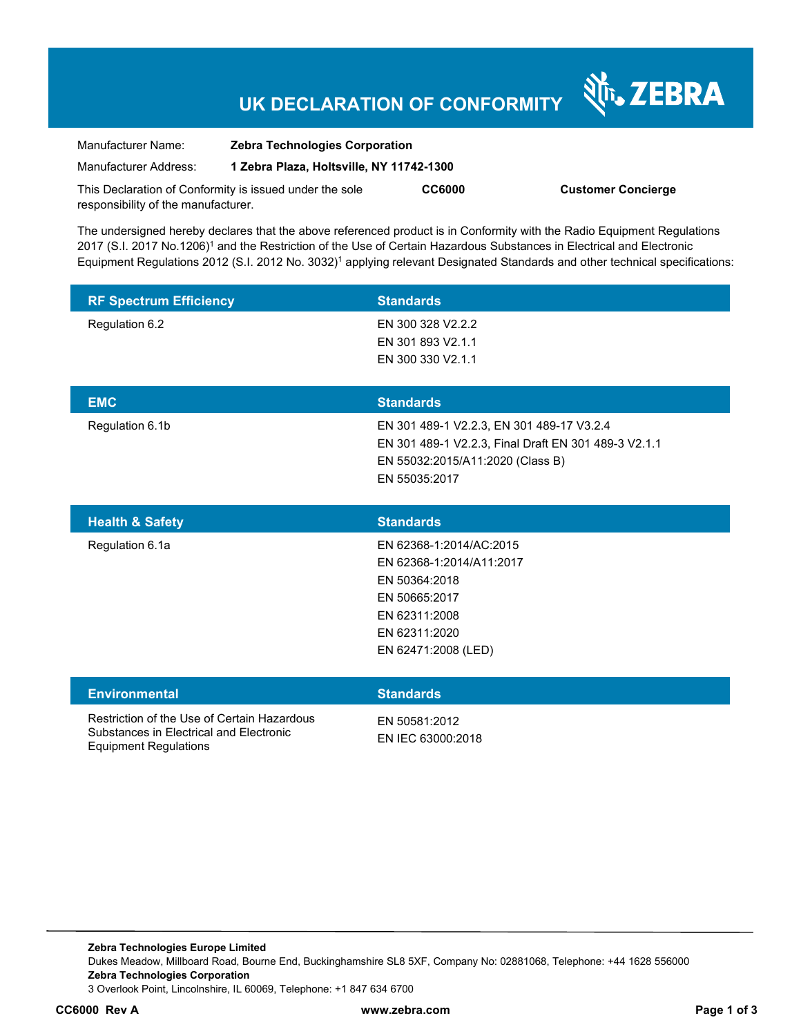## **UK DECLARATION OF CONFORMITY**

| Manufacturer Name:                                      | <b>Zebra Technologies Corporation</b>    |               |                           |
|---------------------------------------------------------|------------------------------------------|---------------|---------------------------|
| Manufacturer Address:                                   | 1 Zebra Plaza, Holtsville, NY 11742-1300 |               |                           |
| This Declaration of Conformity is issued under the sole |                                          | <b>CC6000</b> | <b>Customer Concierge</b> |
| responsibility of the manufacturer.                     |                                          |               |                           |

The undersigned hereby declares that the above referenced product is in Conformity with the Radio Equipment Regulations 2017 (S.I. 2017 No.1206)<sup>1</sup> and the Restriction of the Use of Certain Hazardous Substances in Electrical and Electronic Equipment Regulations 2012 (S.I. 2012 No. 3032)<sup>1</sup> applying relevant Designated Standards and other technical specifications:

| <b>RF Spectrum Efficiency</b> | <b>Standards</b>         |
|-------------------------------|--------------------------|
| Regulation 6.2                | EN 300 328 V2.2.2        |
|                               | EN 301 893 V2.1.1        |
|                               | EN 300 330 V2.1.1        |
|                               |                          |
| <b>EMC</b>                    | <b>Standards</b>         |
|                               | _. . _ _ _ _ _ _ _ _ . _ |

Regulation 6.1b EN 301 489-1 V2.2.3, EN 301 489-17 V3.2.4 EN 301 489-1 V2.2.3, Final Draft EN 301 489-3 V2.1.1 EN 55032:2015/A11:2020 (Class B) EN 55035:2017

N<sub>T</sub>, ZEBRA

| <b>Standards</b>         |
|--------------------------|
| EN 62368-1:2014/AC:2015  |
| EN 62368-1:2014/A11:2017 |
| EN 50364:2018            |
| EN 50665:2017            |
| EN 62311:2008            |
| EN 62311:2020            |
| EN 62471:2008 (LED)      |
|                          |

| <b>Environmental</b>                                                                                                   | <b>Standards</b>                   |
|------------------------------------------------------------------------------------------------------------------------|------------------------------------|
| Restriction of the Use of Certain Hazardous<br>Substances in Electrical and Electronic<br><b>Equipment Regulations</b> | FN 50581:2012<br>EN IEC 63000:2018 |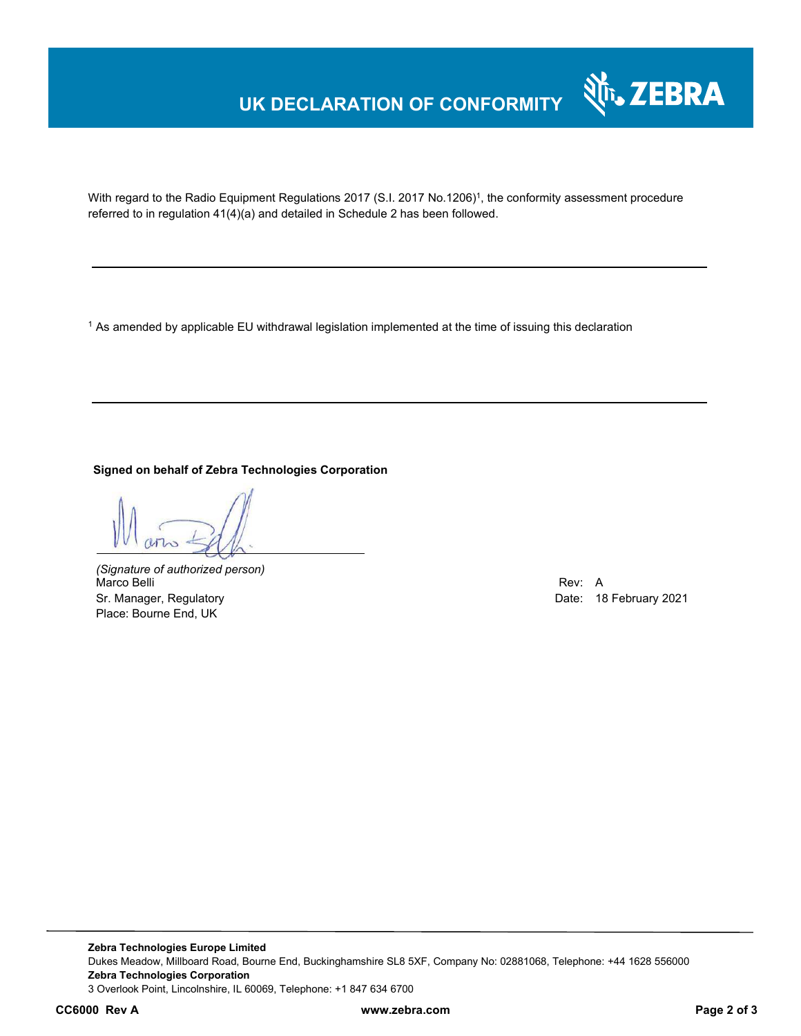## **UK DECLARATION OF CONFORMITY**



With regard to the Radio Equipment Regulations 2017 (S.I. 2017 No.1206)<sup>1</sup>, the conformity assessment procedure referred to in regulation 41(4)(a) and detailed in Schedule 2 has been followed.

1 As amended by applicable EU withdrawal legislation implemented at the time of issuing this declaration

**Signed on behalf of Zebra Technologies Corporation** 

*(Signature of authorized person)* Marco Belli Rev: A Sr. Manager, Regulatory **Date: 18 February 2021** Place: Bourne End, UK

**Zebra Technologies Europe Limited**  Dukes Meadow, Millboard Road, Bourne End, Buckinghamshire SL8 5XF, Company No: 02881068, Telephone: +44 1628 556000 **Zebra Technologies Corporation**  3 Overlook Point, Lincolnshire, IL 60069, Telephone: +1 847 634 6700